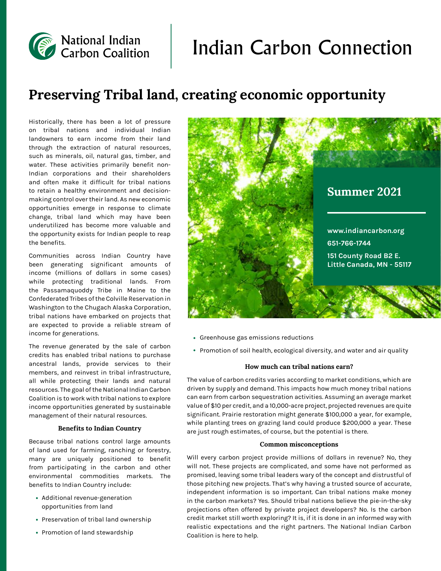# Indian Carbon Connection

# **Preserving Tribal land, creating economic opportunity**

Historically, there has been a lot of pressure on tribal nations and individual Indian landowners to earn income from their land through the extraction of natural resources, such as minerals, oil, natural gas, timber, and water. These activities primarily benefit non-Indian corporations and their shareholders and often make it difficult for tribal nations to retain a healthy environment and decisionmaking control over their land. As new economic opportunities emerge in response to climate change, tribal land which may have been underutilized has become more valuable and the opportunity exists for Indian people to reap the benefits.

National Indian<br>Carbon Coalition

Communities across Indian Country have been generating significant amounts of income (millions of dollars in some cases) while protecting traditional lands. From the Passamaquoddy Tribe in Maine to the Confederated Tribes of the Colville Reservation in Washington to the Chugach Alaska Corporation, tribal nations have embarked on projects that are expected to provide a reliable stream of income for generations.

The revenue generated by the sale of carbon credits has enabled tribal nations to purchase ancestral lands, provide services to their members, and reinvest in tribal infrastructure, all while protecting their lands and natural resources. The goal of the National Indian Carbon Coalition is to work with tribal nations to explore income opportunities generated by sustainable management of their natural resources.

#### **Benefits to Indian Country**

Because tribal nations control large amounts of land used for farming, ranching or forestry, many are uniquely positioned to benefit from participating in the carbon and other environmental commodities markets. The benefits to Indian Country include:

- Additional revenue-generation opportunities from land
- Preservation of tribal land ownership
- Promotion of land stewardship



- Greenhouse gas emissions reductions
- Promotion of soil health, ecological diversity, and water and air quality

#### **How much can tribal nations earn?**

The value of carbon credits varies according to market conditions, which are driven by supply and demand. This impacts how much money tribal nations can earn from carbon sequestration activities. Assuming an average market value of \$10 per credit, and a 10,000-acre project, projected revenues are quite significant. Prairie restoration might generate \$100,000 a year, for example, while planting trees on grazing land could produce \$200,000 a year. These are just rough estimates, of course, but the potential is there.

#### **Common misconceptions**

Will every carbon project provide millions of dollars in revenue? No, they will not. These projects are complicated, and some have not performed as promised, leaving some tribal leaders wary of the concept and distrustful of those pitching new projects. That's why having a trusted source of accurate, independent information is so important. Can tribal nations make money in the carbon markets? Yes. Should tribal nations believe the pie-in-the-sky projections often offered by private project developers? No. Is the carbon credit market still worth exploring? It is, if it is done in an informed way with realistic expectations and the right partners. The National Indian Carbon Coalition is here to help.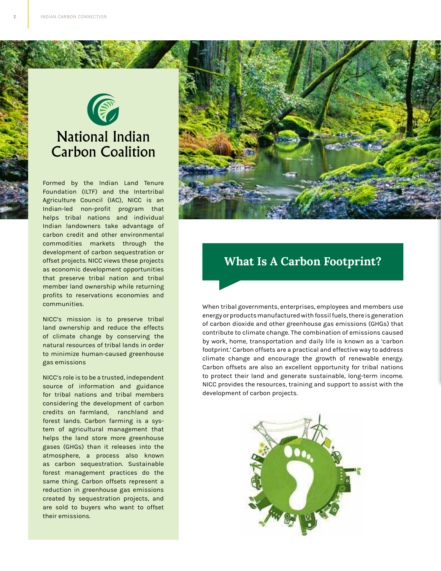

# **National Indian Carbon Coalition**

Formed by the Indian Land Tenure Foundation (ILTF) and the Intertribal Agriculture Council (IAC), NICC is an Indian-led non-profit program that helps tribal nations and individual Indian landowners take advantage of carbon credit and other environmental commodities markets through the development of carbon sequestration or offset projects. NICC views these projects as economic development opportunities that preserve tribal nation and tribal member land ownership while returning profits to reservations economies and communities.

NICC's mission is to preserve tribal land ownership and reduce the effects of climate change by conserving the natural resources of tribal lands in order to minimize human-caused greenhouse gas emissions

NICC's role is to be a trusted, independent source of information and guidance for tribal nations and tribal members considering the development of carbon credits on farmland, ranchland and forest lands. Carbon farming is a system of agricultural management that helps the land store more greenhouse gases (GHGs) than it releases into the atmosphere, a process also known as carbon sequestration. Sustainable forest management practices do the same thing. Carbon offsets represent a reduction in greenhouse gas emissions created by sequestration projects, and are sold to buyers who want to offset their emissions.



### **What Is A Carbon Footprint?**

When tribal governments, enterprises, employees and members use energy or products manufactured with fossil fuels, there is generation of carbon dioxide and other greenhouse gas emissions (GHGs) that contribute to climate change. The combination of emissions caused by work, home, transportation and daily life is known as a 'carbon footprint.' Carbon offsets are a practical and effective way to address climate change and encourage the growth of renewable energy. Carbon offsets are also an excellent opportunity for tribal nations to protect their land and generate sustainable, long-term income. NICC provides the resources, training and support to assist with the development of carbon projects.

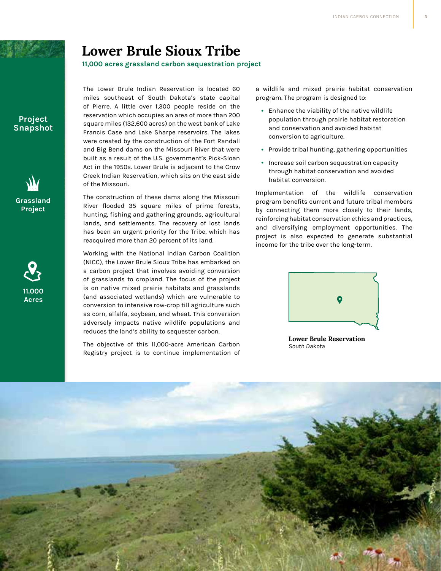# **Lower Brule Sioux Tribe**

**11,000 acres grassland carbon sequestration project**

**Project Snapshot**





The Lower Brule Indian Reservation is located 60 miles southeast of South Dakota's state capital of Pierre. A little over 1,300 people reside on the reservation which occupies an area of more than 200 square miles (132,600 acres) on the west bank of Lake Francis Case and Lake Sharpe reservoirs. The lakes were created by the construction of the Fort Randall and Big Bend dams on the Missouri River that were built as a result of the U.S. government's Pick-Sloan Act in the 1950s. Lower Brule is adjacent to the Crow Creek Indian Reservation, which sits on the east side of the Missouri.

The construction of these dams along the Missouri River flooded 35 square miles of prime forests, hunting, fishing and gathering grounds, agricultural lands, and settlements. The recovery of lost lands has been an urgent priority for the Tribe, which has reacquired more than 20 percent of its land.

Working with the National Indian Carbon Coalition (NICC), the Lower Brule Sioux Tribe has embarked on a carbon project that involves avoiding conversion of grasslands to cropland. The focus of the project is on native mixed prairie habitats and grasslands (and associated wetlands) which are vulnerable to conversion to intensive row-crop till agriculture such as corn, alfalfa, soybean, and wheat. This conversion adversely impacts native wildlife populations and reduces the land's ability to sequester carbon.

The objective of this 11,000-acre American Carbon Registry project is to continue implementation of a wildlife and mixed prairie habitat conservation program. The program is designed to:

- Enhance the viability of the native wildlife population through prairie habitat restoration and conservation and avoided habitat conversion to agriculture.
- Provide tribal hunting, gathering opportunities
- Increase soil carbon sequestration capacity through habitat conservation and avoided habitat conversion.

Implementation of the wildlife conservation program benefits current and future tribal members by connecting them more closely to their lands, reinforcing habitat conservation ethics and practices, and diversifying employment opportunities. The project is also expected to generate substantial income for the tribe over the long-term.



**Lower Brule Reservation** *South Dakota*

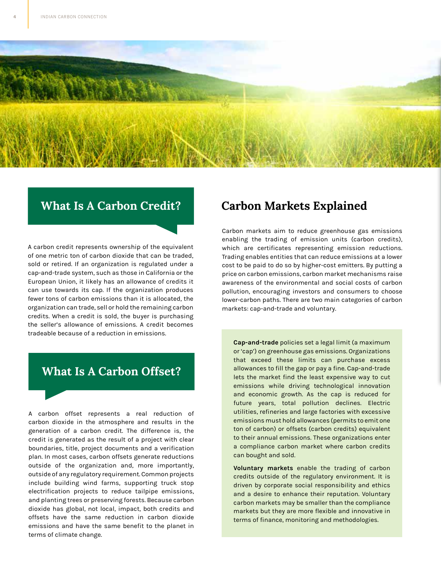

### **What Is A Carbon Credit?**

A carbon credit represents ownership of the equivalent of one metric ton of carbon dioxide that can be traded, sold or retired. If an organization is regulated under a cap-and-trade system, such as those in California or the European Union, it likely has an allowance of credits it can use towards its cap. If the organization produces fewer tons of carbon emissions than it is allocated, the organization can trade, sell or hold the remaining carbon credits. When a credit is sold, the buyer is purchasing the seller's allowance of emissions. A credit becomes tradeable because of a reduction in emissions.

### **What Is A Carbon Offset?**

A carbon offset represents a real reduction of carbon dioxide in the atmosphere and results in the generation of a carbon credit. The difference is, the credit is generated as the result of a project with clear boundaries, title, project documents and a verification plan. In most cases, carbon offsets generate reductions outside of the organization and, more importantly, outside of any regulatory requirement. Common projects include building wind farms, supporting truck stop electrification projects to reduce tailpipe emissions, and planting trees or preserving forests. Because carbon dioxide has global, not local, impact, both credits and offsets have the same reduction in carbon dioxide emissions and have the same benefit to the planet in terms of climate change.

### **Carbon Markets Explained**

Carbon markets aim to reduce greenhouse gas emissions enabling the trading of emission units (carbon credits), which are certificates representing emission reductions. Trading enables entities that can reduce emissions at a lower cost to be paid to do so by higher-cost emitters. By putting a price on carbon emissions, carbon market mechanisms raise awareness of the environmental and social costs of carbon pollution, encouraging investors and consumers to choose lower-carbon paths. There are two main categories of carbon markets: cap-and-trade and voluntary.

**Cap-and-trade** policies set a legal limit (a maximum or 'cap') on greenhouse gas emissions. Organizations that exceed these limits can purchase excess allowances to fill the gap or pay a fine. Cap-and-trade lets the market find the least expensive way to cut emissions while driving technological innovation and economic growth. As the cap is reduced for future years, total pollution declines. Electric utilities, refineries and large factories with excessive emissions must hold allowances (permits to emit one ton of carbon) or offsets (carbon credits) equivalent to their annual emissions. These organizations enter a compliance carbon market where carbon credits can bought and sold.

**Voluntary markets** enable the trading of carbon credits outside of the regulatory environment. It is driven by corporate social responsibility and ethics and a desire to enhance their reputation. Voluntary carbon markets may be smaller than the compliance markets but they are more flexible and innovative in terms of finance, monitoring and methodologies.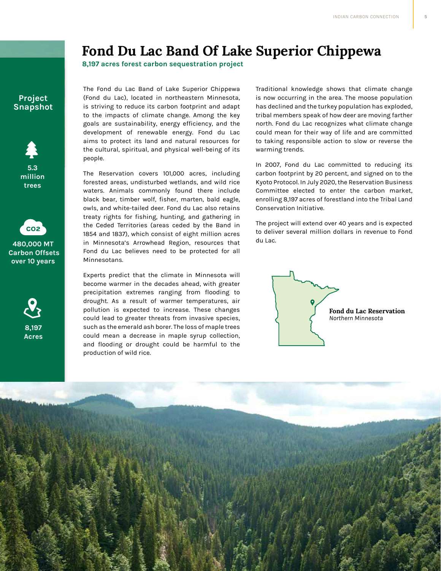# **Fond Du Lac Band Of Lake Superior Chippewa**

**8,197 acres forest carbon sequestration project**

### **Project Snapshot**





**480,000 MT Carbon Offsets over 10 years**



The Fond du Lac Band of Lake Superior Chippewa (Fond du Lac), located in northeastern Minnesota, is striving to reduce its carbon footprint and adapt to the impacts of climate change. Among the key goals are sustainability, energy efficiency, and the development of renewable energy. Fond du Lac aims to protect its land and natural resources for the cultural, spiritual, and physical well-being of its people.

The Reservation covers 101,000 acres, including forested areas, undisturbed wetlands, and wild rice waters. Animals commonly found there include black bear, timber wolf, fisher, marten, bald eagle, owls, and white-tailed deer. Fond du Lac also retains treaty rights for fishing, hunting, and gathering in the Ceded Territories (areas ceded by the Band in 1854 and 1837), which consist of eight million acres in Minnesota's Arrowhead Region, resources that Fond du Lac believes need to be protected for all Minnesotans.

Experts predict that the climate in Minnesota will become warmer in the decades ahead, with greater precipitation extremes ranging from flooding to drought. As a result of warmer temperatures, air pollution is expected to increase. These changes could lead to greater threats from invasive species, such as the emerald ash borer. The loss of maple trees could mean a decrease in maple syrup collection, and flooding or drought could be harmful to the production of wild rice.

Traditional knowledge shows that climate change is now occurring in the area. The moose population has declined and the turkey population has exploded, tribal members speak of how deer are moving farther north. Fond du Lac recognizes what climate change could mean for their way of life and are committed to taking responsible action to slow or reverse the warming trends.

In 2007, Fond du Lac committed to reducing its carbon footprint by 20 percent, and signed on to the Kyoto Protocol. In July 2020, the Reservation Business Committee elected to enter the carbon market, enrolling 8,197 acres of forestland into the Tribal Land Conservation Initiative.

The project will extend over 40 years and is expected to deliver several million dollars in revenue to Fond du Lac.

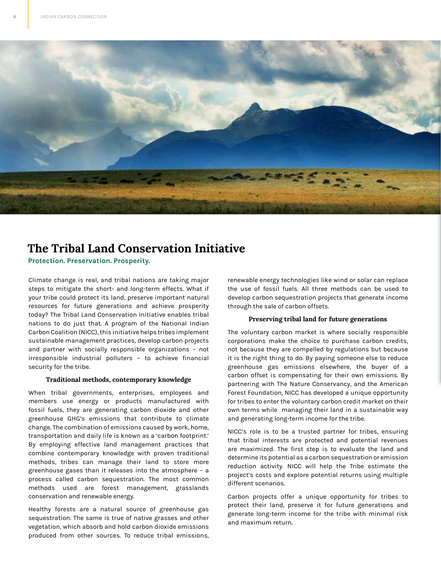

## **The Tribal Land Conservation Initiative**

**Protection. Preservation. Prosperity.**

Climate change is real, and tribal nations are taking major steps to mitigate the short- and long-term effects. What if your tribe could protect its land, preserve important natural resources for future generations and achieve prosperity today? The Tribal Land Conservation Initiative enables tribal nations to do just that. A program of the National Indian Carbon Coalition (NICC), this initiative helps tribes implement sustainable management practices, develop carbon projects and partner with socially responsible organizations – not irresponsible industrial polluters – to achieve financial security for the tribe.

#### **Traditional methods, contemporary knowledge**

When tribal governments, enterprises, employees and members use energy or products manufactured with fossil fuels, they are generating carbon dioxide and other greenhouse GHG's emissions that contribute to climate change. The combination of emissions caused by work, home, transportation and daily life is known as a 'carbon footprint.' By employing effective land management practices that combine contemporary knowledge with proven traditional methods, tribes can manage their land to store more greenhouse gases than it releases into the atmosphere – a process called carbon sequestration. The most common methods used are forest management, grasslands conservation and renewable energy.

Healthy forests are a natural source of greenhouse gas sequestration. The same is true of native grasses and other vegetation, which absorb and hold carbon dioxide emissions produced from other sources. To reduce tribal emissions, renewable energy technologies like wind or solar can replace the use of fossil fuels. All three methods can be used to develop carbon sequestration projects that generate income through the sale of carbon offsets.

### **Preserving tribal land for future generations**

The voluntary carbon market is where socially responsible corporations make the choice to purchase carbon credits, not because they are compelled by regulations but because it is the right thing to do. By paying someone else to reduce greenhouse gas emissions elsewhere, the buyer of a carbon offset is compensating for their own emissions. By partnering with The Nature Conservancy, and the American Forest Foundation, NICC has developed a unique opportunity for tribes to enter the voluntary carbon credit market on their own terms while managing their land in a sustainable way and generating long-term income for the tribe.

NICC's role is to be a trusted partner for tribes, ensuring that tribal interests are protected and potential revenues are maximized. The first step is to evaluate the land and determine its potential as a carbon sequestration or emission reduction activity. NICC will help the Tribe estimate the project's costs and explore potential returns using multiple different scenarios.

Carbon projects offer a unique opportunity for tribes to protect their land, preserve it for future generations and generate long-term income for the tribe with minimal risk and maximum return.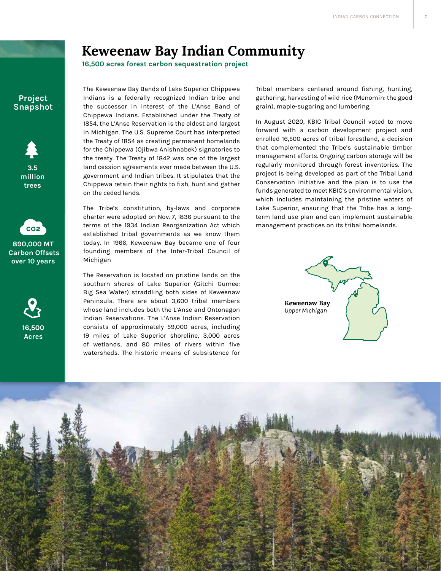# **Keweenaw Bay Indian Community**

**16,500 acres forest carbon sequestration project**

### **Project Snapshot**





**890,000 MT Carbon Offsets over 10 years**



The Keweenaw Bay Bands of Lake Superior Chippewa Indians is a federally recognized Indian tribe and the successor in interest of the L'Anse Band of Chippewa Indians. Established under the Treaty of 1854, the L'Anse Reservation is the oldest and largest in Michigan. The U.S. Supreme Court has interpreted the Treaty of 1854 as creating permanent homelands for the Chippewa (Ojibwa Anishnabek) signatories to the treaty. The Treaty of 1842 was one of the largest land cession agreements ever made between the U.S. government and Indian tribes. It stipulates that the Chippewa retain their rights to fish, hunt and gather on the ceded lands.

The Tribe's constitution, by-laws and corporate charter were adopted on Nov. 7, l836 pursuant to the terms of the 1934 Indian Reorganization Act which established tribal governments as we know them today. In 1966, Keweenaw Bay became one of four founding members of the Inter-Tribal Council of Michigan

The Reservation is located on pristine lands on the southern shores of Lake Superior (Gitchi Gumee: Big Sea Water) straddling both sides of Keweenaw Peninsula. There are about 3,600 tribal members whose land includes both the L'Anse and Ontonagon Indian Reservations. The L'Anse Indian Reservation consists of approximately 59,000 acres, including 19 miles of Lake Superior shoreline, 3,000 acres of wetlands, and 80 miles of rivers within five watersheds. The historic means of subsistence for

Tribal members centered around fishing, hunting, gathering, harvesting of wild rice (Menomin: the good grain), maple-sugaring and lumbering.

In August 2020, KBIC Tribal Council voted to move forward with a carbon development project and enrolled 16,500 acres of tribal forestland, a decision that complemented the Tribe's sustainable timber management efforts. Ongoing carbon storage will be regularly monitored through forest inventories. The project is being developed as part of the Tribal Land Conservation Initiative and the plan is to use the funds generated to meet KBIC's environmental vision, which includes maintaining the pristine waters of Lake Superior, ensuring that the Tribe has a longterm land use plan and can implement sustainable management practices on its tribal homelands.